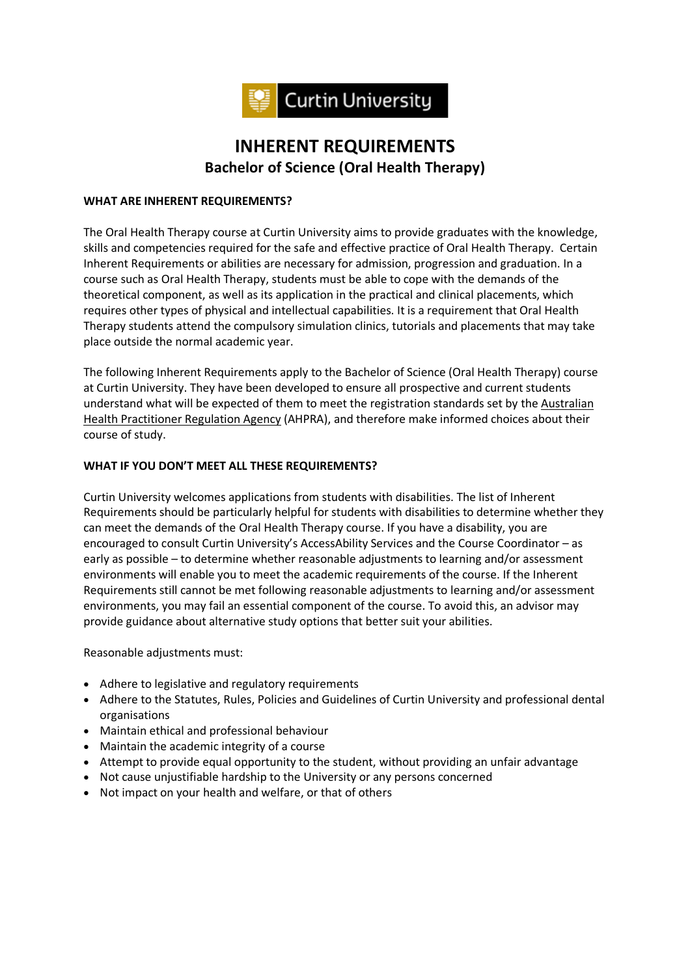

# **INHERENT REQUIREMENTS Bachelor of Science (Oral Health Therapy)**

#### **WHAT ARE INHERENT REQUIREMENTS?**

The Oral Health Therapy course at Curtin University aims to provide graduates with the knowledge, skills and competencies required for the safe and effective practice of Oral Health Therapy. Certain Inherent Requirements or abilities are necessary for admission, progression and graduation. In a course such as Oral Health Therapy, students must be able to cope with the demands of the theoretical component, as well as its application in the practical and clinical placements, which requires other types of physical and intellectual capabilities. It is a requirement that Oral Health Therapy students attend the compulsory simulation clinics, tutorials and placements that may take place outside the normal academic year.

The following Inherent Requirements apply to the Bachelor of Science (Oral Health Therapy) course at Curtin University. They have been developed to ensure all prospective and current students understand what will be expected of them to meet the registration standards set by the Australian Health Practitioner Regulation Agency (AHPRA), and therefore make informed choices about their course of study.

## **WHAT IF YOU DON'T MEET ALL THESE REQUIREMENTS?**

Curtin University welcomes applications from students with disabilities. The list of Inherent Requirements should be particularly helpful for students with disabilities to determine whether they can meet the demands of the Oral Health Therapy course. If you have a disability, you are encouraged to consult Curtin University's AccessAbility Services and the Course Coordinator – as early as possible – to determine whether reasonable adjustments to learning and/or assessment environments will enable you to meet the academic requirements of the course. If the Inherent Requirements still cannot be met following reasonable adjustments to learning and/or assessment environments, you may fail an essential component of the course. To avoid this, an advisor may provide guidance about alternative study options that better suit your abilities.

Reasonable adjustments must:

- Adhere to legislative and regulatory requirements
- Adhere to the Statutes, Rules, Policies and Guidelines of Curtin University and professional dental organisations
- Maintain ethical and professional behaviour
- Maintain the academic integrity of a course
- Attempt to provide equal opportunity to the student, without providing an unfair advantage
- Not cause unjustifiable hardship to the University or any persons concerned
- Not impact on your health and welfare, or that of others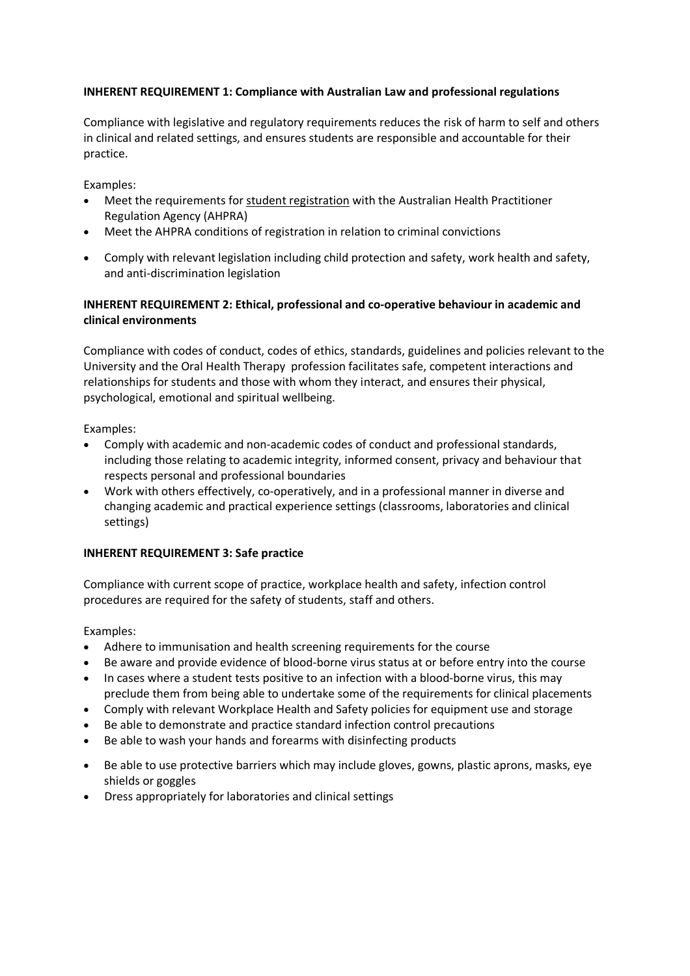#### **INHERENT REQUIREMENT 1: Compliance with Australian Law and professional regulations**

Compliance with legislative and regulatory requirements reduces the risk of harm to self and others in clinical and related settings, and ensures students are responsible and accountable for their practice.

Examples:

- Meet the requirements for student registration with the Australian Health Practitioner Regulation Agency (AHPRA)
- Meet the AHPRA conditions of registration in relation to criminal convictions
- Comply with relevant legislation including child protection and safety, work health and safety, and anti-discrimination legislation

## **INHERENT REQUIREMENT 2: Ethical, professional and co-operative behaviour in academic and clinical environments**

Compliance with codes of conduct, codes of ethics, standards, guidelines and policies relevant to the University and the Oral Health Therapy profession facilitates safe, competent interactions and relationships for students and those with whom they interact, and ensures their physical, psychological, emotional and spiritual wellbeing.

Examples:

- Comply with academic and non-academic codes of conduct and professional standards, including those relating to academic integrity, informed consent, privacy and behaviour that respects personal and professional boundaries
- Work with others effectively, co-operatively, and in a professional manner in diverse and changing academic and practical experience settings (classrooms, laboratories and clinical settings)

#### **INHERENT REQUIREMENT 3: Safe practice**

Compliance with current scope of practice, workplace health and safety, infection control procedures are required for the safety of students, staff and others.

- Adhere to immunisation and health screening requirements for the course
- Be aware and provide evidence of blood-borne virus status at or before entry into the course
- In cases where a student tests positive to an infection with a blood-borne virus, this may preclude them from being able to undertake some of the requirements for clinical placements
- Comply with relevant Workplace Health and Safety policies for equipment use and storage
- Be able to demonstrate and practice standard infection control precautions
- Be able to wash your hands and forearms with disinfecting products
- Be able to use protective barriers which may include gloves, gowns, plastic aprons, masks, eye shields or goggles
- Dress appropriately for laboratories and clinical settings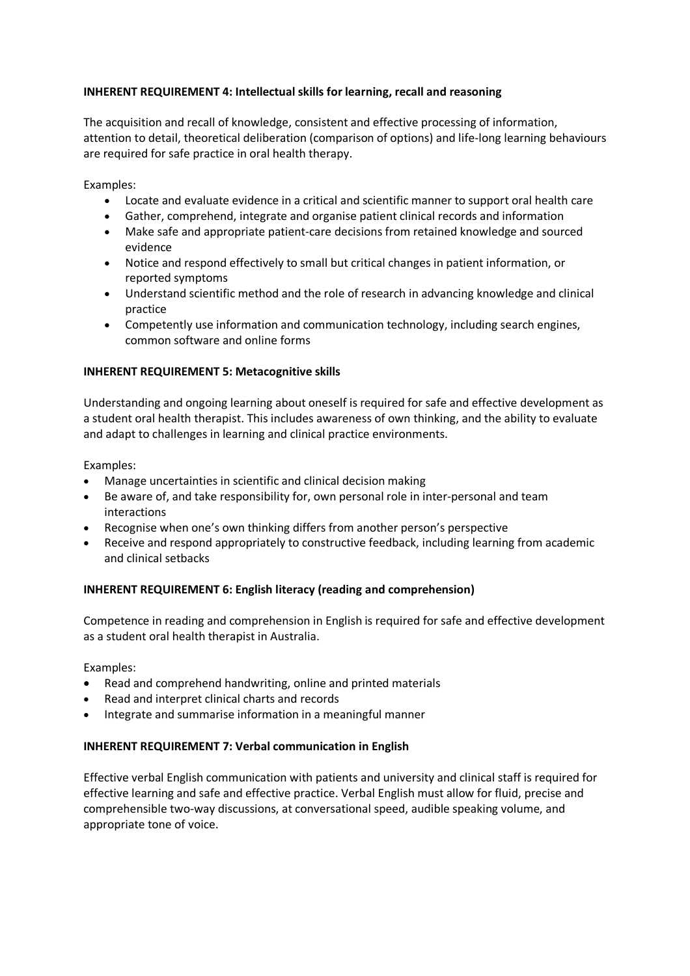## **INHERENT REQUIREMENT 4: Intellectual skills for learning, recall and reasoning**

The acquisition and recall of knowledge, consistent and effective processing of information, attention to detail, theoretical deliberation (comparison of options) and life-long learning behaviours are required for safe practice in oral health therapy.

Examples:

- Locate and evaluate evidence in a critical and scientific manner to support oral health care
- Gather, comprehend, integrate and organise patient clinical records and information
- Make safe and appropriate patient-care decisions from retained knowledge and sourced evidence
- Notice and respond effectively to small but critical changes in patient information, or reported symptoms
- Understand scientific method and the role of research in advancing knowledge and clinical practice
- Competently use information and communication technology, including search engines, common software and online forms

#### **INHERENT REQUIREMENT 5: Metacognitive skills**

Understanding and ongoing learning about oneself is required for safe and effective development as a student oral health therapist. This includes awareness of own thinking, and the ability to evaluate and adapt to challenges in learning and clinical practice environments.

Examples:

- Manage uncertainties in scientific and clinical decision making
- Be aware of, and take responsibility for, own personal role in inter-personal and team interactions
- Recognise when one's own thinking differs from another person's perspective
- Receive and respond appropriately to constructive feedback, including learning from academic and clinical setbacks

#### **INHERENT REQUIREMENT 6: English literacy (reading and comprehension)**

Competence in reading and comprehension in English is required for safe and effective development as a student oral health therapist in Australia.

Examples:

- Read and comprehend handwriting, online and printed materials
- Read and interpret clinical charts and records
- Integrate and summarise information in a meaningful manner

## **INHERENT REQUIREMENT 7: Verbal communication in English**

Effective verbal English communication with patients and university and clinical staff is required for effective learning and safe and effective practice. Verbal English must allow for fluid, precise and comprehensible two-way discussions, at conversational speed, audible speaking volume, and appropriate tone of voice.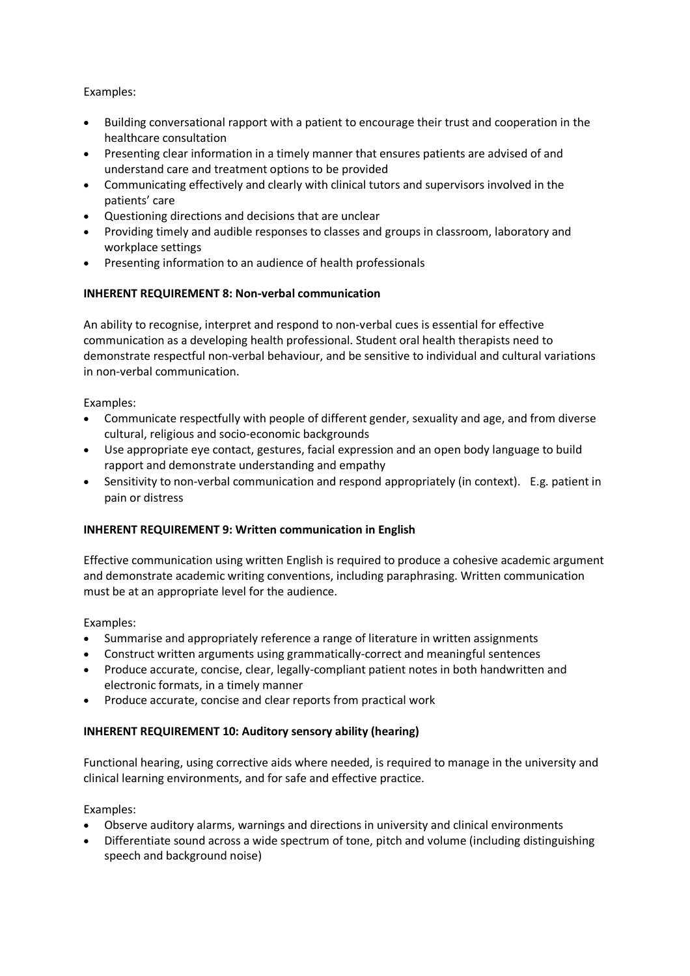## Examples:

- Building conversational rapport with a patient to encourage their trust and cooperation in the healthcare consultation
- Presenting clear information in a timely manner that ensures patients are advised of and understand care and treatment options to be provided
- Communicating effectively and clearly with clinical tutors and supervisors involved in the patients' care
- Questioning directions and decisions that are unclear
- Providing timely and audible responses to classes and groups in classroom, laboratory and workplace settings
- Presenting information to an audience of health professionals

## **INHERENT REQUIREMENT 8: Non-verbal communication**

An ability to recognise, interpret and respond to non-verbal cues is essential for effective communication as a developing health professional. Student oral health therapists need to demonstrate respectful non-verbal behaviour, and be sensitive to individual and cultural variations in non-verbal communication.

## Examples:

- Communicate respectfully with people of different gender, sexuality and age, and from diverse cultural, religious and socio-economic backgrounds
- Use appropriate eye contact, gestures, facial expression and an open body language to build rapport and demonstrate understanding and empathy
- Sensitivity to non-verbal communication and respond appropriately (in context). E.g. patient in pain or distress

## **INHERENT REQUIREMENT 9: Written communication in English**

Effective communication using written English is required to produce a cohesive academic argument and demonstrate academic writing conventions, including paraphrasing. Written communication must be at an appropriate level for the audience.

## Examples:

- Summarise and appropriately reference a range of literature in written assignments
- Construct written arguments using grammatically-correct and meaningful sentences
- Produce accurate, concise, clear, legally-compliant patient notes in both handwritten and electronic formats, in a timely manner
- Produce accurate, concise and clear reports from practical work

## **INHERENT REQUIREMENT 10: Auditory sensory ability (hearing)**

Functional hearing, using corrective aids where needed, is required to manage in the university and clinical learning environments, and for safe and effective practice.

- Observe auditory alarms, warnings and directions in university and clinical environments
- Differentiate sound across a wide spectrum of tone, pitch and volume (including distinguishing speech and background noise)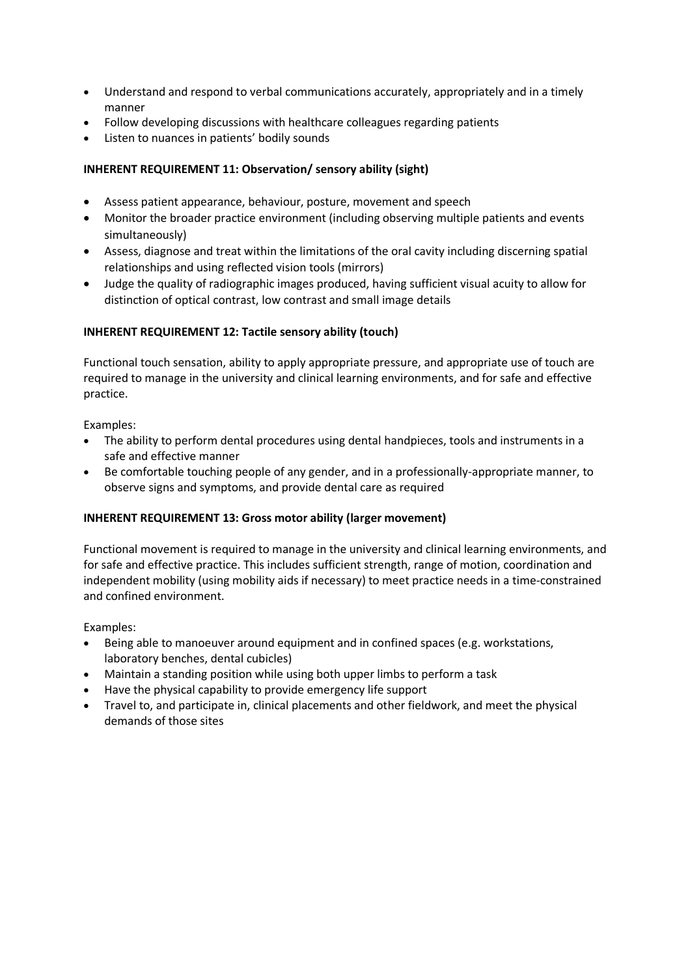- Understand and respond to verbal communications accurately, appropriately and in a timely manner
- Follow developing discussions with healthcare colleagues regarding patients
- Listen to nuances in patients' bodily sounds

## **INHERENT REQUIREMENT 11: Observation/ sensory ability (sight)**

- Assess patient appearance, behaviour, posture, movement and speech
- Monitor the broader practice environment (including observing multiple patients and events simultaneously)
- Assess, diagnose and treat within the limitations of the oral cavity including discerning spatial relationships and using reflected vision tools (mirrors)
- Judge the quality of radiographic images produced, having sufficient visual acuity to allow for distinction of optical contrast, low contrast and small image details

## **INHERENT REQUIREMENT 12: Tactile sensory ability (touch)**

Functional touch sensation, ability to apply appropriate pressure, and appropriate use of touch are required to manage in the university and clinical learning environments, and for safe and effective practice.

Examples:

- The ability to perform dental procedures using dental handpieces, tools and instruments in a safe and effective manner
- Be comfortable touching people of any gender, and in a professionally-appropriate manner, to observe signs and symptoms, and provide dental care as required

## **INHERENT REQUIREMENT 13: Gross motor ability (larger movement)**

Functional movement is required to manage in the university and clinical learning environments, and for safe and effective practice. This includes sufficient strength, range of motion, coordination and independent mobility (using mobility aids if necessary) to meet practice needs in a time-constrained and confined environment.

- Being able to manoeuver around equipment and in confined spaces (e.g. workstations, laboratory benches, dental cubicles)
- Maintain a standing position while using both upper limbs to perform a task
- Have the physical capability to provide emergency life support
- Travel to, and participate in, clinical placements and other fieldwork, and meet the physical demands of those sites